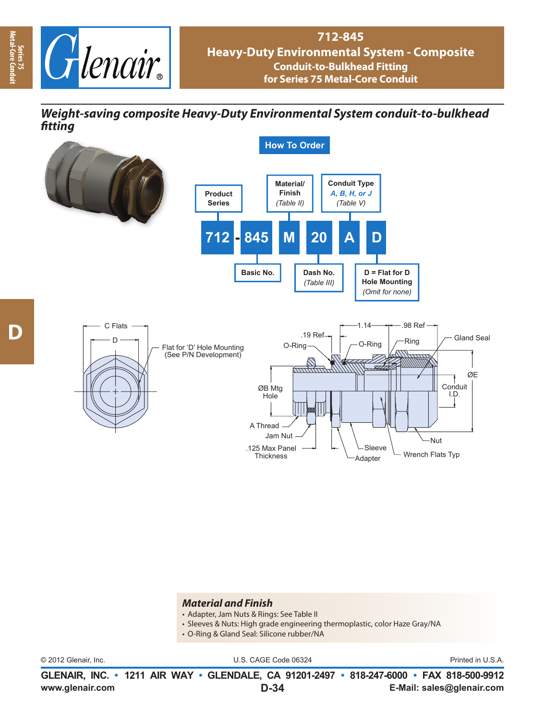

*Weight-saving composite Heavy-Duty Environmental System conduit-to-bulkhead fi tting fitting*



## *Material and Finish*

- Adapter, Jam Nuts & Rings: See Table II
- Sleeves & Nuts: High grade engineering thermoplastic, color Haze Gray/NA
- O-Ring & Gland Seal: Silicone rubber/NA

© 2012 Glenair, Inc. U.S. CAGE Code 06324 Printed in U.S.A.

**www.glenair.com E-Mail: sales@glenair.com GLENAIR, INC. • 1211 AIR WAY • GLENDALE, CA 91201-2497 • 818-247-6000 • FAX 818-500-9912 D-34**

**Series 75<br>Metal-Core Con Metal-Core Conduit**